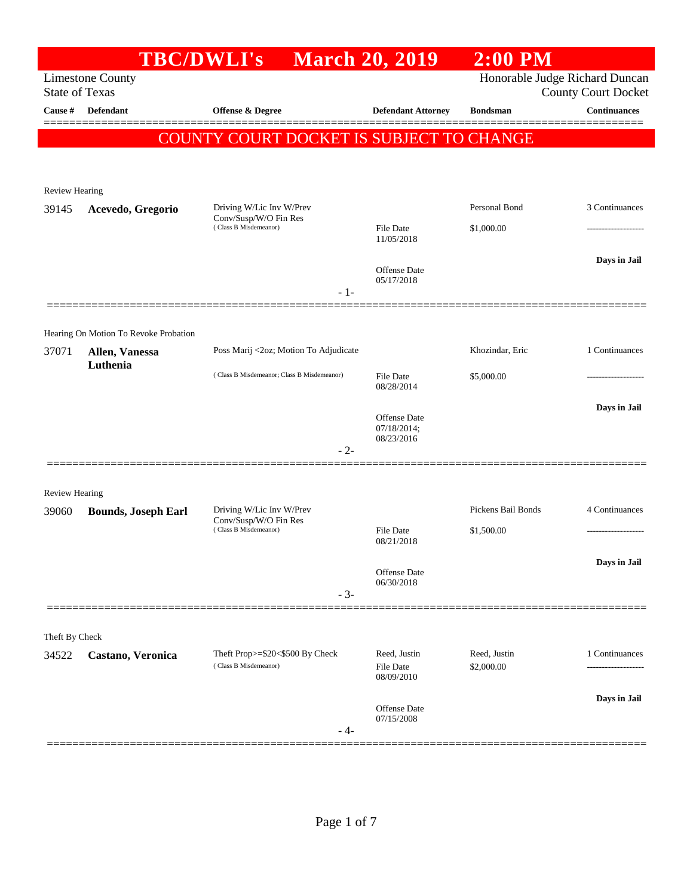|                                  |                                       | <b>TBC/DWLI's</b>                              | <b>March 20, 2019</b>             | $2:00$ PM          |                                                   |
|----------------------------------|---------------------------------------|------------------------------------------------|-----------------------------------|--------------------|---------------------------------------------------|
|                                  | <b>Limestone County</b>               |                                                |                                   |                    | Honorable Judge Richard Duncan                    |
| <b>State of Texas</b><br>Cause # | Defendant                             | Offense & Degree                               | <b>Defendant Attorney</b>         | <b>Bondsman</b>    | <b>County Court Docket</b><br><b>Continuances</b> |
|                                  |                                       |                                                |                                   |                    |                                                   |
|                                  |                                       | COUNTY COURT DOCKET IS SUBJECT TO CHANGE       |                                   |                    |                                                   |
|                                  |                                       |                                                |                                   |                    |                                                   |
| <b>Review Hearing</b>            |                                       |                                                |                                   |                    |                                                   |
| 39145                            | Acevedo, Gregorio                     | Driving W/Lic Inv W/Prev                       |                                   | Personal Bond      | 3 Continuances                                    |
|                                  |                                       | Conv/Susp/W/O Fin Res<br>(Class B Misdemeanor) | <b>File Date</b>                  | \$1,000.00         | ----------------                                  |
|                                  |                                       |                                                | 11/05/2018                        |                    |                                                   |
|                                  |                                       |                                                | <b>Offense</b> Date               |                    | Days in Jail                                      |
|                                  |                                       | $-1-$                                          | 05/17/2018                        |                    |                                                   |
|                                  |                                       |                                                |                                   |                    |                                                   |
|                                  | Hearing On Motion To Revoke Probation |                                                |                                   |                    |                                                   |
| 37071                            | Allen, Vanessa                        | Poss Marij <2oz; Motion To Adjudicate          |                                   | Khozindar, Eric    | 1 Continuances                                    |
|                                  | Luthenia                              | (Class B Misdemeanor; Class B Misdemeanor)     | <b>File Date</b>                  | \$5,000.00         | .                                                 |
|                                  |                                       |                                                | 08/28/2014                        |                    |                                                   |
|                                  |                                       |                                                | <b>Offense</b> Date               |                    | Days in Jail                                      |
|                                  |                                       |                                                | 07/18/2014;<br>08/23/2016         |                    |                                                   |
|                                  |                                       | $-2-$                                          |                                   |                    |                                                   |
|                                  |                                       |                                                |                                   |                    |                                                   |
| <b>Review Hearing</b>            |                                       | Driving W/Lic Inv W/Prev                       |                                   | Pickens Bail Bonds | 4 Continuances                                    |
| 39060                            | <b>Bounds, Joseph Earl</b>            | Conv/Susp/W/O Fin Res<br>(Class B Misdemeanor) | <b>File Date</b>                  | \$1,500.00         | -------------------                               |
|                                  |                                       |                                                | 08/21/2018                        |                    |                                                   |
|                                  |                                       |                                                | <b>Offense Date</b>               |                    | Days in Jail                                      |
|                                  |                                       |                                                | 06/30/2018                        |                    |                                                   |
|                                  |                                       | $-3-$                                          |                                   |                    |                                                   |
|                                  |                                       |                                                |                                   |                    |                                                   |
| Theft By Check<br>34522          | Castano, Veronica                     | Theft Prop>=\$20<\$500 By Check                | Reed, Justin                      | Reed, Justin       | 1 Continuances                                    |
|                                  |                                       | (Class B Misdemeanor)                          | <b>File Date</b><br>08/09/2010    | \$2,000.00         |                                                   |
|                                  |                                       |                                                |                                   |                    | Days in Jail                                      |
|                                  |                                       |                                                | <b>Offense</b> Date<br>07/15/2008 |                    |                                                   |
|                                  |                                       | - 4-                                           |                                   |                    |                                                   |
|                                  |                                       |                                                |                                   |                    |                                                   |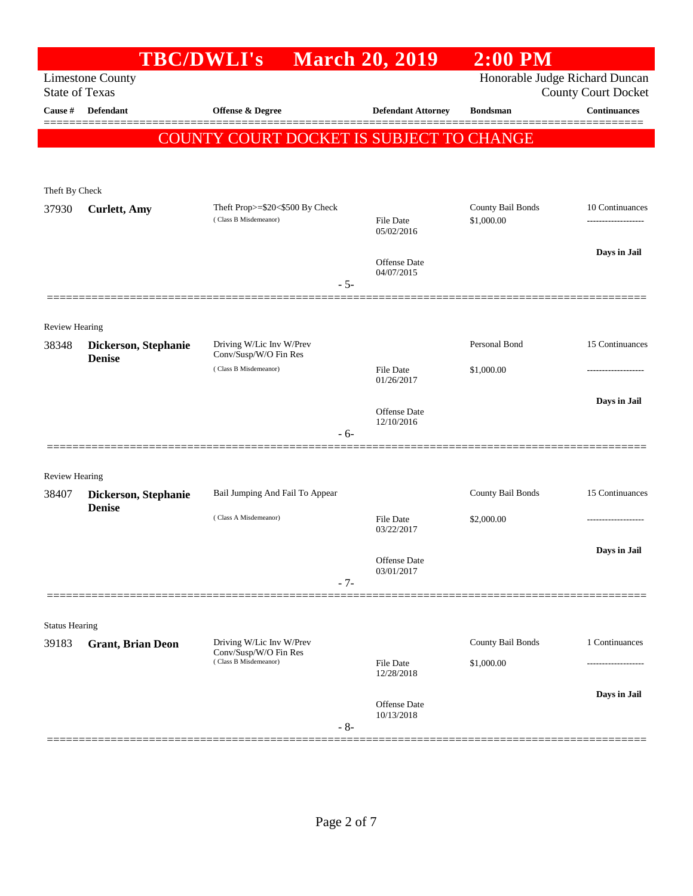|                                | <b>TBC/DWLI's</b>                     |                                                          | <b>March 20, 2019</b>          | $2:00$ PM                       |                                        |
|--------------------------------|---------------------------------------|----------------------------------------------------------|--------------------------------|---------------------------------|----------------------------------------|
| <b>State of Texas</b>          | <b>Limestone County</b>               |                                                          |                                | Honorable Judge Richard Duncan  | <b>County Court Docket</b>             |
| Cause #                        | Defendant                             | Offense & Degree                                         | <b>Defendant Attorney</b>      | <b>Bondsman</b>                 | <b>Continuances</b>                    |
|                                |                                       | COUNTY COURT DOCKET IS SUBJECT TO CHANGE                 |                                |                                 |                                        |
| Theft By Check                 |                                       |                                                          |                                |                                 |                                        |
| 37930                          | <b>Curlett</b> , Amy                  | Theft Prop>=\$20<\$500 By Check<br>(Class B Misdemeanor) | <b>File Date</b><br>05/02/2016 | County Bail Bonds<br>\$1,000.00 | 10 Continuances<br>------------------- |
|                                |                                       | $-5-$                                                    | Offense Date<br>04/07/2015     |                                 | Days in Jail                           |
| <b>Review Hearing</b>          |                                       |                                                          |                                |                                 |                                        |
| 38348                          | Dickerson, Stephanie<br><b>Denise</b> | Driving W/Lic Inv W/Prev<br>Conv/Susp/W/O Fin Res        |                                | Personal Bond                   | 15 Continuances                        |
|                                |                                       | (Class B Misdemeanor)                                    | <b>File Date</b><br>01/26/2017 | \$1,000.00                      |                                        |
|                                |                                       | - 6-                                                     | Offense Date<br>12/10/2016     |                                 | Days in Jail                           |
| <b>Review Hearing</b>          |                                       |                                                          |                                |                                 |                                        |
| 38407                          | Dickerson, Stephanie                  | Bail Jumping And Fail To Appear                          |                                | County Bail Bonds               | 15 Continuances                        |
|                                | <b>Denise</b>                         | (Class A Misdemeanor)                                    | File Date<br>03/22/2017        | \$2,000.00                      |                                        |
|                                |                                       | $-7-$                                                    | Offense Date<br>03/01/2017     |                                 | Days in Jail                           |
|                                |                                       |                                                          |                                |                                 |                                        |
| <b>Status Hearing</b><br>39183 | <b>Grant, Brian Deon</b>              | Driving W/Lic Inv W/Prev                                 |                                | County Bail Bonds               | 1 Continuances                         |
|                                |                                       | Conv/Susp/W/O Fin Res<br>(Class B Misdemeanor)           | <b>File Date</b><br>12/28/2018 | \$1,000.00                      |                                        |
|                                |                                       | $-8-$                                                    | Offense Date<br>10/13/2018     |                                 | Days in Jail                           |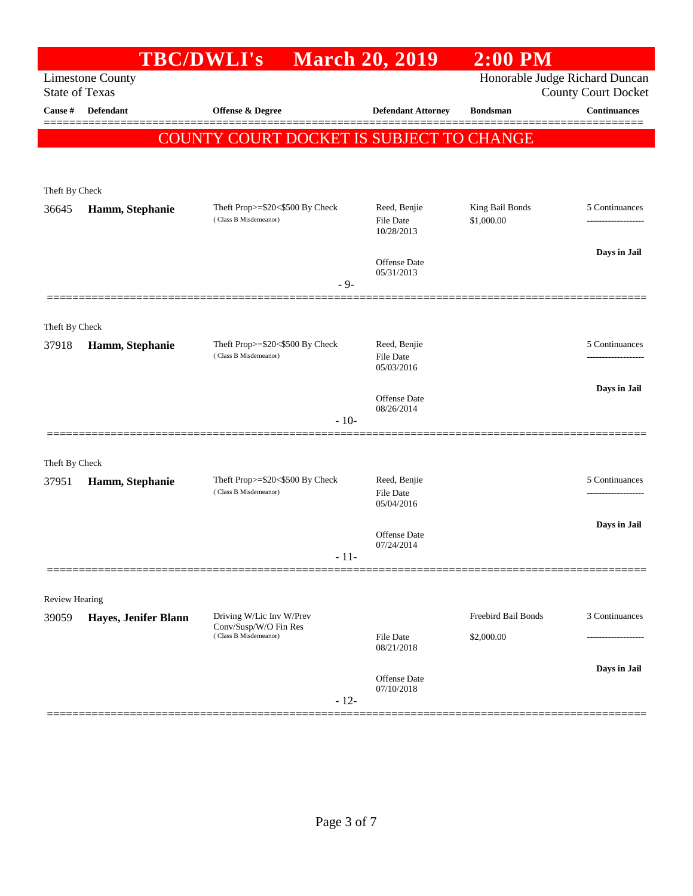|                       |                         | <b>TBC/DWLI's</b>                                        | <b>March 20, 2019</b>             | $2:00$ PM                      |                            |
|-----------------------|-------------------------|----------------------------------------------------------|-----------------------------------|--------------------------------|----------------------------|
| <b>State of Texas</b> | <b>Limestone County</b> |                                                          |                                   | Honorable Judge Richard Duncan | <b>County Court Docket</b> |
| Cause #               | <b>Defendant</b>        | <b>Offense &amp; Degree</b>                              | <b>Defendant Attorney</b>         | <b>Bondsman</b>                | <b>Continuances</b>        |
|                       |                         | COUNTY COURT DOCKET IS SUBJECT TO CHANGE                 |                                   |                                |                            |
|                       |                         |                                                          |                                   |                                |                            |
| Theft By Check        |                         |                                                          |                                   |                                |                            |
| 36645                 | Hamm, Stephanie         | Theft Prop>=\$20<\$500 By Check<br>(Class B Misdemeanor) | Reed, Benjie                      | King Bail Bonds                | 5 Continuances             |
|                       |                         |                                                          | <b>File Date</b><br>10/28/2013    | \$1,000.00                     | ------------------         |
|                       |                         |                                                          | <b>Offense</b> Date               |                                | Days in Jail               |
|                       |                         | $-9-$                                                    | 05/31/2013                        |                                |                            |
|                       |                         |                                                          |                                   |                                |                            |
| Theft By Check        |                         |                                                          |                                   |                                |                            |
| 37918                 | Hamm, Stephanie         | Theft Prop>=\$20<\$500 By Check<br>(Class B Misdemeanor) | Reed, Benjie<br><b>File Date</b>  |                                | 5 Continuances             |
|                       |                         |                                                          | 05/03/2016                        |                                |                            |
|                       |                         |                                                          | Offense Date                      |                                | Days in Jail               |
|                       |                         | $-10-$                                                   | 08/26/2014                        |                                |                            |
|                       |                         |                                                          |                                   |                                |                            |
| Theft By Check        |                         |                                                          |                                   |                                |                            |
| 37951                 | Hamm, Stephanie         | Theft Prop>=\$20<\$500 By Check<br>(Class B Misdemeanor) | Reed, Benjie<br><b>File Date</b>  |                                | 5 Continuances<br>.        |
|                       |                         |                                                          | 05/04/2016                        |                                |                            |
|                       |                         |                                                          | Offense Date                      |                                | Days in Jail               |
|                       |                         | - 11-                                                    | 07/24/2014                        |                                |                            |
|                       |                         |                                                          |                                   |                                |                            |
| <b>Review Hearing</b> |                         |                                                          |                                   |                                |                            |
| 39059                 | Hayes, Jenifer Blann    | Driving W/Lic Inv W/Prev<br>Conv/Susp/W/O Fin Res        |                                   | Freebird Bail Bonds            | 3 Continuances             |
|                       |                         | (Class B Misdemeanor)                                    | <b>File Date</b><br>08/21/2018    | \$2,000.00                     | .                          |
|                       |                         |                                                          |                                   |                                | Days in Jail               |
|                       |                         | $-12-$                                                   | <b>Offense</b> Date<br>07/10/2018 |                                |                            |
|                       |                         |                                                          |                                   |                                |                            |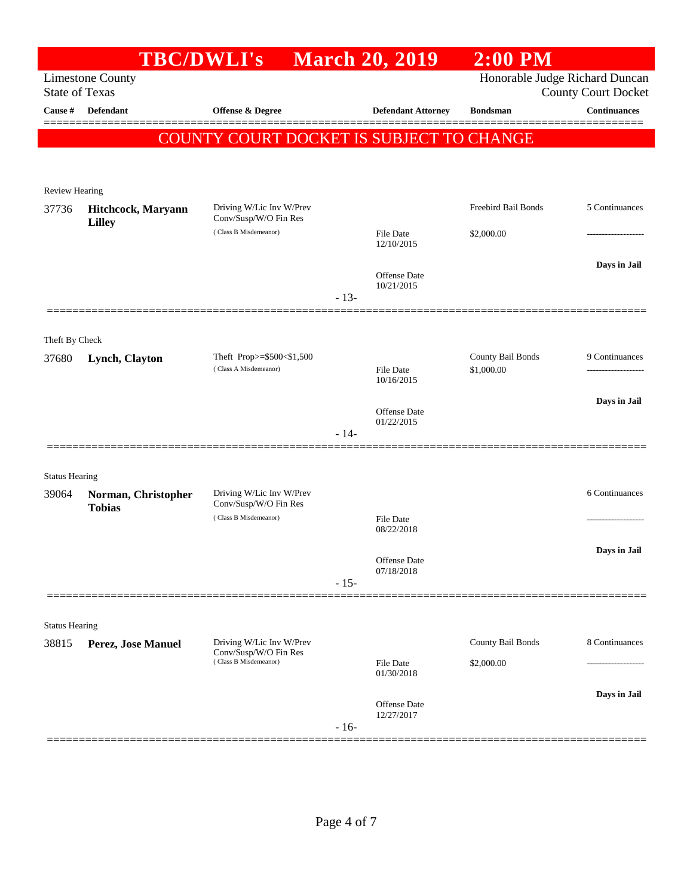|                       |                                                  | TBC/DWLI's March 20, 2019                          |        |                                | $2:00$ PM                       |                                                   |
|-----------------------|--------------------------------------------------|----------------------------------------------------|--------|--------------------------------|---------------------------------|---------------------------------------------------|
|                       | <b>Limestone County</b><br><b>State of Texas</b> |                                                    |        |                                | Honorable Judge Richard Duncan  |                                                   |
| Cause #               | <b>Defendant</b>                                 | <b>Offense &amp; Degree</b>                        |        | <b>Defendant Attorney</b>      | <b>Bondsman</b>                 | <b>County Court Docket</b><br><b>Continuances</b> |
|                       |                                                  |                                                    |        |                                |                                 | ========                                          |
|                       |                                                  | <b>COUNTY COURT DOCKET IS SUBJECT TO CHANGE</b>    |        |                                |                                 |                                                   |
|                       |                                                  |                                                    |        |                                |                                 |                                                   |
| <b>Review Hearing</b> |                                                  |                                                    |        |                                |                                 |                                                   |
| 37736                 | Hitchcock, Maryann<br><b>Lilley</b>              | Driving W/Lic Inv W/Prev<br>Conv/Susp/W/O Fin Res  |        |                                | Freebird Bail Bonds             | 5 Continuances                                    |
|                       |                                                  | (Class B Misdemeanor)                              |        | <b>File Date</b><br>12/10/2015 | \$2,000.00                      |                                                   |
|                       |                                                  |                                                    |        |                                |                                 | Days in Jail                                      |
|                       |                                                  |                                                    |        | Offense Date<br>10/21/2015     |                                 |                                                   |
|                       |                                                  |                                                    | $-13-$ |                                |                                 |                                                   |
|                       |                                                  |                                                    |        |                                |                                 |                                                   |
| Theft By Check        |                                                  |                                                    |        |                                |                                 |                                                   |
| 37680                 | Lynch, Clayton                                   | Theft Prop>=\$500<\$1,500<br>(Class A Misdemeanor) |        | <b>File Date</b>               | County Bail Bonds<br>\$1,000.00 | 9 Continuances<br>                                |
|                       |                                                  |                                                    |        | 10/16/2015                     |                                 |                                                   |
|                       |                                                  |                                                    |        | Offense Date                   |                                 | Days in Jail                                      |
|                       |                                                  |                                                    | $-14-$ | 01/22/2015                     |                                 |                                                   |
|                       |                                                  |                                                    |        |                                |                                 |                                                   |
| <b>Status Hearing</b> |                                                  |                                                    |        |                                |                                 |                                                   |
| 39064                 | Norman, Christopher<br><b>Tobias</b>             | Driving W/Lic Inv W/Prev<br>Conv/Susp/W/O Fin Res  |        |                                |                                 | 6 Continuances                                    |
|                       |                                                  | (Class B Misdemeanor)                              |        | <b>File Date</b>               |                                 |                                                   |
|                       |                                                  |                                                    |        | 08/22/2018                     |                                 |                                                   |
|                       |                                                  |                                                    |        | Offense Date<br>07/18/2018     |                                 | Days in Jail                                      |
|                       |                                                  |                                                    | $-15-$ |                                |                                 |                                                   |
|                       |                                                  |                                                    |        |                                |                                 |                                                   |
| <b>Status Hearing</b> |                                                  |                                                    |        |                                |                                 |                                                   |
| 38815                 | Perez, Jose Manuel                               | Driving W/Lic Inv W/Prev<br>Conv/Susp/W/O Fin Res  |        |                                | County Bail Bonds               | 8 Continuances                                    |
|                       |                                                  | (Class B Misdemeanor)                              |        | <b>File Date</b><br>01/30/2018 | \$2,000.00                      |                                                   |
|                       |                                                  |                                                    |        |                                |                                 | Days in Jail                                      |
|                       |                                                  |                                                    |        | Offense Date<br>12/27/2017     |                                 |                                                   |
|                       |                                                  |                                                    | $-16-$ |                                |                                 |                                                   |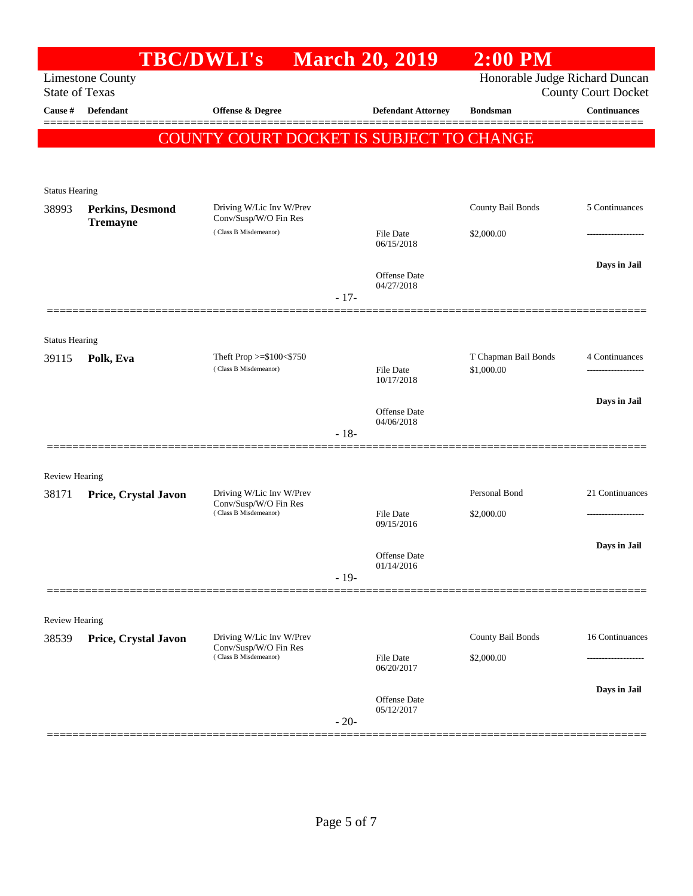|                       |                                                  | <b>TBC/DWLI's</b> March 20, 2019                  |                                | $2:00$ PM                          |                                       |
|-----------------------|--------------------------------------------------|---------------------------------------------------|--------------------------------|------------------------------------|---------------------------------------|
|                       | <b>Limestone County</b><br><b>State of Texas</b> |                                                   |                                | Honorable Judge Richard Duncan     | <b>County Court Docket</b>            |
| Cause #               | <b>Defendant</b>                                 | <b>Offense &amp; Degree</b>                       | <b>Defendant Attorney</b>      | <b>Bondsman</b>                    | <b>Continuances</b>                   |
|                       |                                                  | <b>COUNTY COURT DOCKET IS SUBJECT TO CHANGE</b>   |                                |                                    |                                       |
|                       |                                                  |                                                   |                                |                                    |                                       |
| <b>Status Hearing</b> |                                                  |                                                   |                                |                                    |                                       |
| 38993                 | Perkins, Desmond<br><b>Tremayne</b>              | Driving W/Lic Inv W/Prev<br>Conv/Susp/W/O Fin Res |                                | County Bail Bonds                  | 5 Continuances                        |
|                       |                                                  | (Class B Misdemeanor)                             | File Date<br>06/15/2018        | \$2,000.00                         |                                       |
|                       |                                                  |                                                   | <b>Offense Date</b>            |                                    | Days in Jail                          |
|                       |                                                  |                                                   | 04/27/2018<br>$-17-$           |                                    |                                       |
|                       |                                                  |                                                   |                                |                                    |                                       |
| <b>Status Hearing</b> |                                                  |                                                   |                                |                                    |                                       |
| 39115                 | Polk, Eva                                        | Theft Prop >=\$100<\$750<br>(Class B Misdemeanor) | <b>File Date</b>               | T Chapman Bail Bonds<br>\$1,000.00 | 4 Continuances<br>------------------- |
|                       |                                                  |                                                   | 10/17/2018                     |                                    |                                       |
|                       |                                                  |                                                   | Offense Date                   |                                    | Days in Jail                          |
|                       |                                                  |                                                   | 04/06/2018<br>$-18-$           |                                    |                                       |
| <b>Review Hearing</b> |                                                  |                                                   |                                |                                    |                                       |
| 38171                 | Price, Crystal Javon                             | Driving W/Lic Inv W/Prev                          |                                | Personal Bond                      | 21 Continuances                       |
|                       |                                                  | Conv/Susp/W/O Fin Res<br>(Class B Misdemeanor)    | <b>File Date</b><br>09/15/2016 | \$2,000.00                         | -------------------                   |
|                       |                                                  |                                                   | Offense Date                   |                                    | Days in Jail                          |
|                       |                                                  |                                                   | 01/14/2016<br>$-19-$           |                                    |                                       |
|                       |                                                  |                                                   |                                |                                    |                                       |
| <b>Review Hearing</b> |                                                  |                                                   |                                |                                    |                                       |
| 38539                 | Price, Crystal Javon                             | Driving W/Lic Inv W/Prev<br>Conv/Susp/W/O Fin Res |                                | County Bail Bonds                  | 16 Continuances                       |
|                       |                                                  | (Class B Misdemeanor)                             | File Date<br>06/20/2017        | \$2,000.00                         |                                       |
|                       |                                                  |                                                   | Offense Date                   |                                    | Days in Jail                          |
|                       |                                                  |                                                   | 05/12/2017<br>$-20-$           |                                    |                                       |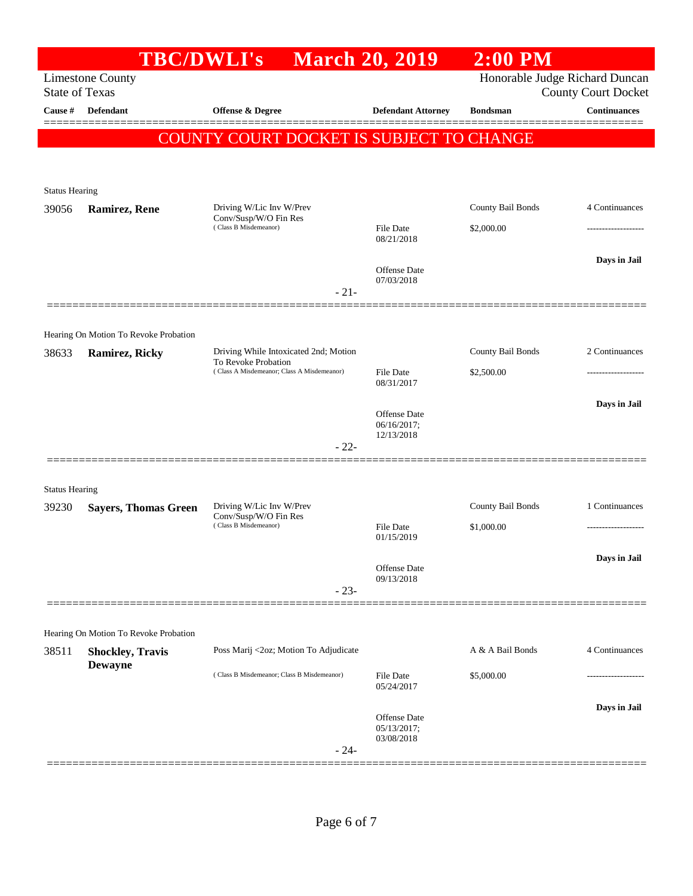|                       |                                                                | <b>TBC/DWLI's</b>                                                                   |           | <b>March 20, 2019</b>                           | $2:00$ PM         |                                                              |
|-----------------------|----------------------------------------------------------------|-------------------------------------------------------------------------------------|-----------|-------------------------------------------------|-------------------|--------------------------------------------------------------|
| <b>State of Texas</b> | <b>Limestone County</b>                                        |                                                                                     |           |                                                 |                   | Honorable Judge Richard Duncan<br><b>County Court Docket</b> |
| Cause #               | Defendant                                                      | Offense & Degree                                                                    |           | <b>Defendant Attorney</b>                       | <b>Bondsman</b>   | <b>Continuances</b>                                          |
|                       |                                                                |                                                                                     |           | <b>COUNTY COURT DOCKET IS SUBJECT TO CHANGE</b> |                   |                                                              |
|                       |                                                                |                                                                                     |           |                                                 |                   |                                                              |
| <b>Status Hearing</b> |                                                                |                                                                                     |           |                                                 |                   |                                                              |
| 39056                 | <b>Ramirez, Rene</b>                                           | Driving W/Lic Inv W/Prev<br>Conv/Susp/W/O Fin Res                                   |           |                                                 | County Bail Bonds | 4 Continuances                                               |
|                       |                                                                | (Class B Misdemeanor)                                                               |           | <b>File Date</b><br>08/21/2018                  | \$2,000.00        |                                                              |
|                       |                                                                |                                                                                     |           | <b>Offense</b> Date                             |                   | Days in Jail                                                 |
|                       |                                                                |                                                                                     | $-21-$    | 07/03/2018                                      |                   |                                                              |
|                       |                                                                |                                                                                     |           |                                                 |                   |                                                              |
| 38633                 | Hearing On Motion To Revoke Probation<br><b>Ramirez, Ricky</b> | Driving While Intoxicated 2nd; Motion                                               |           |                                                 | County Bail Bonds | 2 Continuances                                               |
|                       |                                                                | To Revoke Probation<br>(Class A Misdemeanor; Class A Misdemeanor)                   | File Date | \$2,500.00                                      |                   |                                                              |
|                       |                                                                |                                                                                     |           | 08/31/2017                                      |                   | Days in Jail                                                 |
|                       |                                                                |                                                                                     |           | Offense Date<br>06/16/2017;<br>12/13/2018       |                   |                                                              |
|                       |                                                                |                                                                                     | $-22-$    |                                                 |                   |                                                              |
| <b>Status Hearing</b> |                                                                |                                                                                     |           |                                                 |                   |                                                              |
| 39230                 | <b>Sayers, Thomas Green</b>                                    | Driving W/Lic Inv W/Prev                                                            |           |                                                 | County Bail Bonds | 1 Continuances                                               |
|                       |                                                                | Conv/Susp/W/O Fin Res<br>(Class B Misdemeanor)                                      |           | File Date<br>01/15/2019                         | \$1,000.00        |                                                              |
|                       |                                                                |                                                                                     |           | Offense Date                                    |                   | Days in Jail                                                 |
|                       |                                                                |                                                                                     | $-23-$    | 09/13/2018                                      |                   |                                                              |
|                       |                                                                |                                                                                     |           |                                                 |                   |                                                              |
|                       | Hearing On Motion To Revoke Probation                          |                                                                                     |           |                                                 | A & A Bail Bonds  | 4 Continuances                                               |
| 38511                 | <b>Shockley, Travis</b><br><b>Dewayne</b>                      | Poss Marij <2oz; Motion To Adjudicate<br>(Class B Misdemeanor; Class B Misdemeanor) |           |                                                 |                   |                                                              |
|                       |                                                                |                                                                                     |           | File Date<br>05/24/2017                         | \$5,000.00        |                                                              |
|                       |                                                                |                                                                                     |           | Offense Date                                    |                   | Days in Jail                                                 |
|                       |                                                                |                                                                                     |           | 05/13/2017;<br>03/08/2018                       |                   |                                                              |
|                       |                                                                |                                                                                     | $-24-$    |                                                 |                   |                                                              |